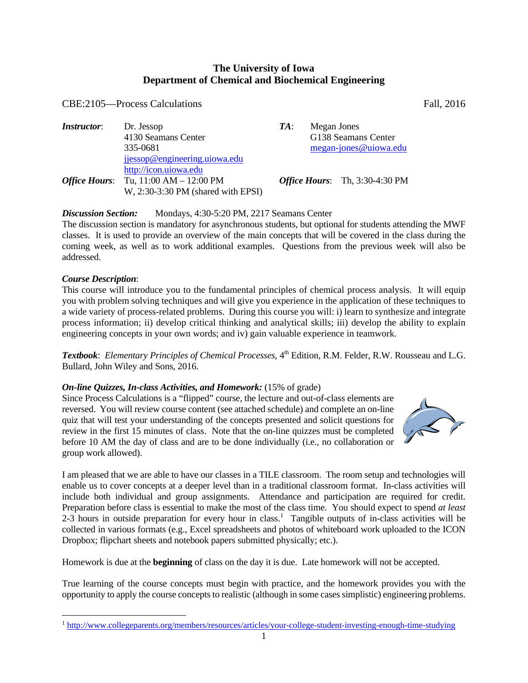## **The University of Iowa Department of Chemical and Biochemical Engineering**

### CBE:2105—Process Calculations Fall, 2016

*Instructor*: Dr. Jessop *TA*: Megan Jones 4130 Seamans Center G138 Seamans Center 335-0681 megan-jones@uiowa.edu jjessop@engineering.uiowa.edu http://icon.uiowa.edu *Office Hours*: Tu, 11:00 AM – 12:00 PM *Office Hours*: Th, 3:30-4:30 PM W, 2:30-3:30 PM (shared with EPSI)

**Discussion Section:** Mondays, 4:30-5:20 PM, 2217 Seamans Center

The discussion section is mandatory for asynchronous students, but optional for students attending the MWF classes. It is used to provide an overview of the main concepts that will be covered in the class during the coming week, as well as to work additional examples. Questions from the previous week will also be addressed.

#### *Course Description*:

 $\overline{a}$ 

This course will introduce you to the fundamental principles of chemical process analysis. It will equip you with problem solving techniques and will give you experience in the application of these techniques to a wide variety of process-related problems. During this course you will: i) learn to synthesize and integrate process information; ii) develop critical thinking and analytical skills; iii) develop the ability to explain engineering concepts in your own words; and iv) gain valuable experience in teamwork.

*Textbook: Elementary Principles of Chemical Processes*, 4<sup>th</sup> Edition, R.M. Felder, R.W. Rousseau and L.G. Bullard, John Wiley and Sons, 2016.

#### *On-line Quizzes, In-class Activities, and Homework:* **(15% of grade)**

Since Process Calculations is a "flipped" course, the lecture and out-of-class elements are reversed. You will review course content (see attached schedule) and complete an on-line quiz that will test your understanding of the concepts presented and solicit questions for review in the first 15 minutes of class. Note that the on-line quizzes must be completed before 10 AM the day of class and are to be done individually (i.e., no collaboration or group work allowed).

I am pleased that we are able to have our classes in a TILE classroom. The room setup and technologies will enable us to cover concepts at a deeper level than in a traditional classroom format. In-class activities will include both individual and group assignments. Attendance and participation are required for credit. Preparation before class is essential to make the most of the class time. You should expect to spend *at least*  $2-3$  hours in outside preparation for every hour in class.<sup>1</sup> Tangible outputs of in-class activities will be collected in various formats (e.g., Excel spreadsheets and photos of whiteboard work uploaded to the ICON Dropbox; flipchart sheets and notebook papers submitted physically; etc.).

Homework is due at the **beginning** of class on the day it is due. Late homework will not be accepted.

True learning of the course concepts must begin with practice, and the homework provides you with the opportunity to apply the course concepts to realistic (although in some cases simplistic) engineering problems.



<sup>1</sup> http://www.collegeparents.org/members/resources/articles/your-college-student-investing-enough-time-studying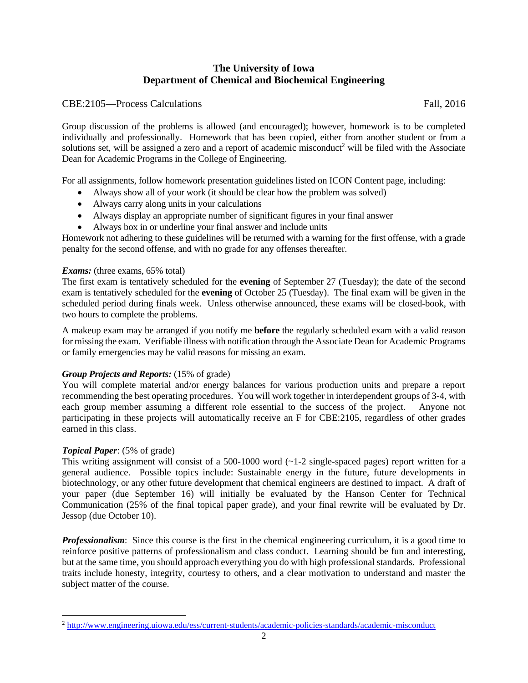# **The University of Iowa Department of Chemical and Biochemical Engineering**

## CBE:2105—Process Calculations Fall, 2016

Group discussion of the problems is allowed (and encouraged); however, homework is to be completed individually and professionally. Homework that has been copied, either from another student or from a solutions set, will be assigned a zero and a report of academic misconduct<sup>2</sup> will be filed with the Associate Dean for Academic Programs in the College of Engineering.

For all assignments, follow homework presentation guidelines listed on ICON Content page, including:

- Always show all of your work (it should be clear how the problem was solved)
- Always carry along units in your calculations
- Always display an appropriate number of significant figures in your final answer
- Always box in or underline your final answer and include units

Homework not adhering to these guidelines will be returned with a warning for the first offense, with a grade penalty for the second offense, and with no grade for any offenses thereafter.

#### *Exams:* (three exams, 65% total)

The first exam is tentatively scheduled for the **evening** of September 27 (Tuesday); the date of the second exam is tentatively scheduled for the **evening** of October 25 (Tuesday). The final exam will be given in the scheduled period during finals week. Unless otherwise announced, these exams will be closed-book, with two hours to complete the problems.

A makeup exam may be arranged if you notify me **before** the regularly scheduled exam with a valid reason for missing the exam. Verifiable illness with notification through the Associate Dean for Academic Programs or family emergencies may be valid reasons for missing an exam.

#### *Group Projects and Reports:* (15% of grade)

You will complete material and/or energy balances for various production units and prepare a report recommending the best operating procedures. You will work together in interdependent groups of 3-4, with each group member assuming a different role essential to the success of the project. Anyone not participating in these projects will automatically receive an F for CBE:2105, regardless of other grades earned in this class.

#### *Topical Paper*: (5% of grade)

 $\overline{a}$ 

This writing assignment will consist of a 500-1000 word  $(-1-2)$  single-spaced pages) report written for a general audience. Possible topics include: Sustainable energy in the future, future developments in biotechnology, or any other future development that chemical engineers are destined to impact. A draft of your paper (due September 16) will initially be evaluated by the Hanson Center for Technical Communication (25% of the final topical paper grade), and your final rewrite will be evaluated by Dr. Jessop (due October 10).

*Professionalism*: Since this course is the first in the chemical engineering curriculum, it is a good time to reinforce positive patterns of professionalism and class conduct. Learning should be fun and interesting, but at the same time, you should approach everything you do with high professional standards. Professional traits include honesty, integrity, courtesy to others, and a clear motivation to understand and master the subject matter of the course.

<sup>2</sup> http://www.engineering.uiowa.edu/ess/current-students/academic-policies-standards/academic-misconduct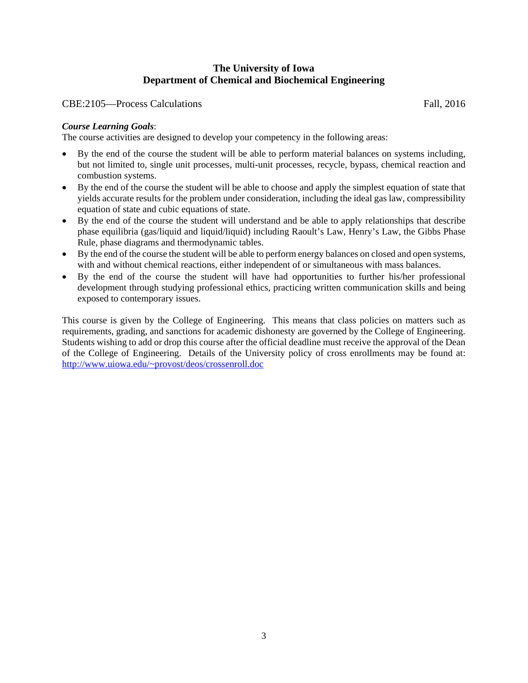# **The University of Iowa Department of Chemical and Biochemical Engineering**

CBE:2105—Process Calculations Fall, 2016

## *Course Learning Goals*:

The course activities are designed to develop your competency in the following areas:

- By the end of the course the student will be able to perform material balances on systems including, but not limited to, single unit processes, multi-unit processes, recycle, bypass, chemical reaction and combustion systems.
- By the end of the course the student will be able to choose and apply the simplest equation of state that yields accurate results for the problem under consideration, including the ideal gas law, compressibility equation of state and cubic equations of state.
- By the end of the course the student will understand and be able to apply relationships that describe phase equilibria (gas/liquid and liquid/liquid) including Raoult's Law, Henry's Law, the Gibbs Phase Rule, phase diagrams and thermodynamic tables.
- By the end of the course the student will be able to perform energy balances on closed and open systems, with and without chemical reactions, either independent of or simultaneous with mass balances.
- By the end of the course the student will have had opportunities to further his/her professional development through studying professional ethics, practicing written communication skills and being exposed to contemporary issues.

This course is given by the College of Engineering. This means that class policies on matters such as requirements, grading, and sanctions for academic dishonesty are governed by the College of Engineering. Students wishing to add or drop this course after the official deadline must receive the approval of the Dean of the College of Engineering. Details of the University policy of cross enrollments may be found at: http://www.uiowa.edu/~provost/deos/crossenroll.doc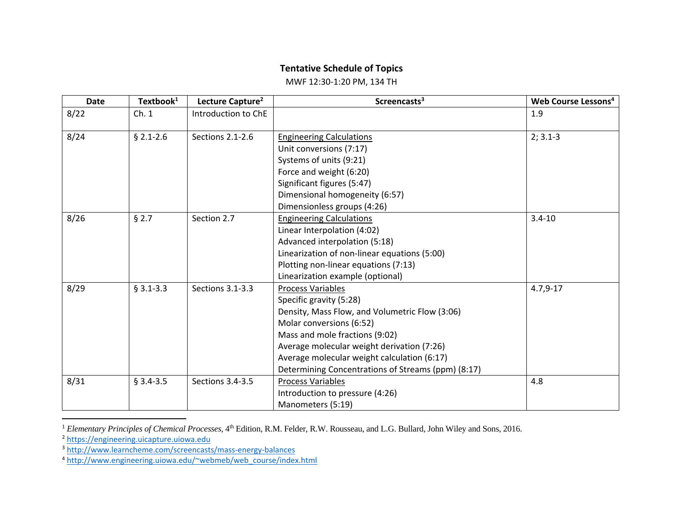### **Tentative Schedule of Topics**

MWF 12:30‐1:20 PM, 134 TH

| <b>Date</b> | Textbook <sup>1</sup> | Lecture Capture <sup>2</sup> | Screencasts <sup>3</sup>                           | Web Course Lessons <sup>4</sup> |
|-------------|-----------------------|------------------------------|----------------------------------------------------|---------------------------------|
| 8/22        | Ch.1                  | Introduction to ChE          |                                                    | 1.9                             |
| 8/24        | $$2.1 - 2.6$          | Sections 2.1-2.6             | <b>Engineering Calculations</b>                    | $2; 3.1-3$                      |
|             |                       |                              | Unit conversions (7:17)                            |                                 |
|             |                       |                              | Systems of units (9:21)                            |                                 |
|             |                       |                              | Force and weight (6:20)                            |                                 |
|             |                       |                              | Significant figures (5:47)                         |                                 |
|             |                       |                              | Dimensional homogeneity (6:57)                     |                                 |
|             |                       |                              | Dimensionless groups (4:26)                        |                                 |
| 8/26        | § 2.7                 | Section 2.7                  | <b>Engineering Calculations</b>                    | $3.4 - 10$                      |
|             |                       |                              | Linear Interpolation (4:02)                        |                                 |
|             |                       |                              | Advanced interpolation (5:18)                      |                                 |
|             |                       |                              | Linearization of non-linear equations (5:00)       |                                 |
|             |                       |                              | Plotting non-linear equations (7:13)               |                                 |
|             |                       |                              | Linearization example (optional)                   |                                 |
| 8/29        | $§$ 3.1-3.3           | Sections 3.1-3.3             | <b>Process Variables</b>                           | $4.7,9-17$                      |
|             |                       |                              | Specific gravity (5:28)                            |                                 |
|             |                       |                              | Density, Mass Flow, and Volumetric Flow (3:06)     |                                 |
|             |                       |                              | Molar conversions (6:52)                           |                                 |
|             |                       |                              | Mass and mole fractions (9:02)                     |                                 |
|             |                       |                              | Average molecular weight derivation (7:26)         |                                 |
|             |                       |                              | Average molecular weight calculation (6:17)        |                                 |
|             |                       |                              | Determining Concentrations of Streams (ppm) (8:17) |                                 |
| 8/31        | $§$ 3.4-3.5           | Sections 3.4-3.5             | <b>Process Variables</b>                           | 4.8                             |
|             |                       |                              | Introduction to pressure (4:26)                    |                                 |
|             |                       |                              | Manometers (5:19)                                  |                                 |

<sup>&</sup>lt;sup>1</sup> *Elementary Principles of Chemical Processes*, 4<sup>th</sup> Edition, R.M. Felder, R.W. Rousseau, and L.G. Bullard, John Wiley and Sons, 2016.<br><sup>2</sup> https://engineering.uicapture.uiowa.edu

<sup>&</sup>lt;sup>3</sup> http://www.learncheme.com/screencasts/mass-energy-balances

<sup>&</sup>lt;sup>4</sup> http://www.engineering.uiowa.edu/~webmeb/web\_course/index.html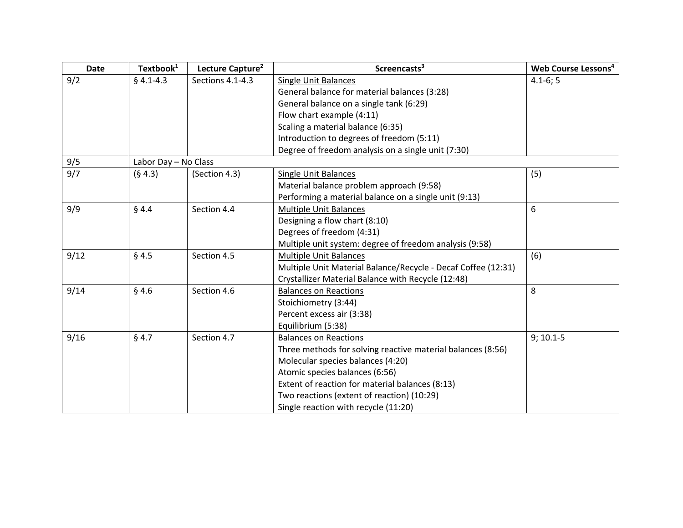| <b>Date</b> | Textbook <sup>1</sup> | Lecture Capture <sup>2</sup> | Screencasts <sup>3</sup>                                      | Web Course Lessons <sup>4</sup> |  |
|-------------|-----------------------|------------------------------|---------------------------------------------------------------|---------------------------------|--|
| 9/2         | $§$ 4.1-4.3           | Sections 4.1-4.3             | <b>Single Unit Balances</b>                                   | $4.1 - 6; 5$                    |  |
|             |                       |                              | General balance for material balances (3:28)                  |                                 |  |
|             |                       |                              | General balance on a single tank (6:29)                       |                                 |  |
|             |                       |                              | Flow chart example (4:11)                                     |                                 |  |
|             |                       |                              | Scaling a material balance (6:35)                             |                                 |  |
|             |                       |                              | Introduction to degrees of freedom (5:11)                     |                                 |  |
|             |                       |                              | Degree of freedom analysis on a single unit (7:30)            |                                 |  |
| 9/5         | Labor Day - No Class  |                              |                                                               |                                 |  |
| 9/7         | (§ 4.3)               | (Section 4.3)                | Single Unit Balances                                          | (5)                             |  |
|             |                       |                              | Material balance problem approach (9:58)                      |                                 |  |
|             |                       |                              | Performing a material balance on a single unit (9:13)         |                                 |  |
| 9/9         | $§$ 4.4               | Section 4.4                  | <b>Multiple Unit Balances</b>                                 | 6                               |  |
|             |                       |                              | Designing a flow chart (8:10)                                 |                                 |  |
|             |                       |                              | Degrees of freedom (4:31)                                     |                                 |  |
|             |                       |                              | Multiple unit system: degree of freedom analysis (9:58)       |                                 |  |
| 9/12        | § 4.5                 | Section 4.5                  | <b>Multiple Unit Balances</b>                                 | (6)                             |  |
|             |                       |                              | Multiple Unit Material Balance/Recycle - Decaf Coffee (12:31) |                                 |  |
|             |                       |                              | Crystallizer Material Balance with Recycle (12:48)            |                                 |  |
| 9/14        | §4.6                  | Section 4.6                  | <b>Balances on Reactions</b>                                  | 8                               |  |
|             |                       |                              | Stoichiometry (3:44)                                          |                                 |  |
|             |                       |                              | Percent excess air (3:38)                                     |                                 |  |
|             |                       |                              | Equilibrium (5:38)                                            |                                 |  |
| 9/16        | § 4.7                 | Section 4.7                  | <b>Balances on Reactions</b>                                  | $9; 10.1 - 5$                   |  |
|             |                       |                              | Three methods for solving reactive material balances (8:56)   |                                 |  |
|             |                       |                              | Molecular species balances (4:20)                             |                                 |  |
|             |                       |                              | Atomic species balances (6:56)                                |                                 |  |
|             |                       |                              | Extent of reaction for material balances (8:13)               |                                 |  |
|             |                       |                              | Two reactions (extent of reaction) (10:29)                    |                                 |  |
|             |                       |                              | Single reaction with recycle (11:20)                          |                                 |  |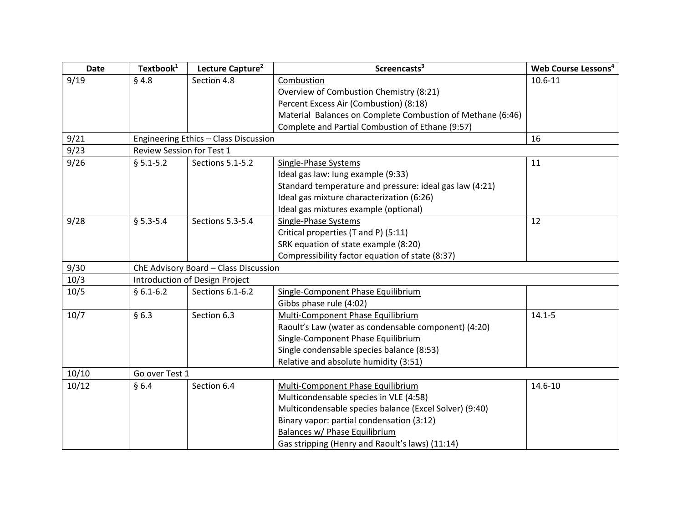| <b>Date</b> | Textbook <sup>1</sup>                 | Lecture Capture <sup>2</sup>          | Screencasts <sup>3</sup>                                   | Web Course Lessons <sup>4</sup> |  |
|-------------|---------------------------------------|---------------------------------------|------------------------------------------------------------|---------------------------------|--|
| 9/19        | § 4.8                                 | Section 4.8                           | Combustion                                                 | 10.6-11                         |  |
|             |                                       |                                       | Overview of Combustion Chemistry (8:21)                    |                                 |  |
|             |                                       |                                       | Percent Excess Air (Combustion) (8:18)                     |                                 |  |
|             |                                       |                                       | Material Balances on Complete Combustion of Methane (6:46) |                                 |  |
|             |                                       |                                       | Complete and Partial Combustion of Ethane (9:57)           |                                 |  |
| 9/21        |                                       | Engineering Ethics - Class Discussion |                                                            | 16                              |  |
| 9/23        | Review Session for Test 1             |                                       |                                                            |                                 |  |
| 9/26        | $$5.1 - 5.2$                          | Sections 5.1-5.2                      | Single-Phase Systems                                       | 11                              |  |
|             |                                       |                                       | Ideal gas law: lung example (9:33)                         |                                 |  |
|             |                                       |                                       | Standard temperature and pressure: ideal gas law (4:21)    |                                 |  |
|             |                                       |                                       | Ideal gas mixture characterization (6:26)                  |                                 |  |
|             |                                       |                                       | Ideal gas mixtures example (optional)                      |                                 |  |
| 9/28        | $§ 5.3 - 5.4$                         | Sections 5.3-5.4                      | Single-Phase Systems                                       | 12                              |  |
|             |                                       |                                       | Critical properties (T and P) (5:11)                       |                                 |  |
|             |                                       |                                       | SRK equation of state example (8:20)                       |                                 |  |
|             |                                       |                                       | Compressibility factor equation of state (8:37)            |                                 |  |
| 9/30        | ChE Advisory Board - Class Discussion |                                       |                                                            |                                 |  |
| 10/3        | Introduction of Design Project        |                                       |                                                            |                                 |  |
| 10/5        | $§ 6.1 - 6.2$                         | Sections 6.1-6.2                      | Single-Component Phase Equilibrium                         |                                 |  |
|             |                                       |                                       | Gibbs phase rule (4:02)                                    |                                 |  |
| 10/7        | §6.3                                  | Section 6.3                           | Multi-Component Phase Equilibrium                          | $14.1 - 5$                      |  |
|             |                                       |                                       | Raoult's Law (water as condensable component) (4:20)       |                                 |  |
|             |                                       |                                       | Single-Component Phase Equilibrium                         |                                 |  |
|             |                                       |                                       | Single condensable species balance (8:53)                  |                                 |  |
|             |                                       |                                       | Relative and absolute humidity (3:51)                      |                                 |  |
| 10/10       | Go over Test 1                        |                                       |                                                            |                                 |  |
| 10/12       | §6.4                                  | Section 6.4                           | Multi-Component Phase Equilibrium                          | 14.6-10                         |  |
|             |                                       |                                       | Multicondensable species in VLE (4:58)                     |                                 |  |
|             |                                       |                                       | Multicondensable species balance (Excel Solver) (9:40)     |                                 |  |
|             |                                       |                                       | Binary vapor: partial condensation (3:12)                  |                                 |  |
|             |                                       |                                       | Balances w/ Phase Equilibrium                              |                                 |  |
|             |                                       |                                       | Gas stripping (Henry and Raoult's laws) (11:14)            |                                 |  |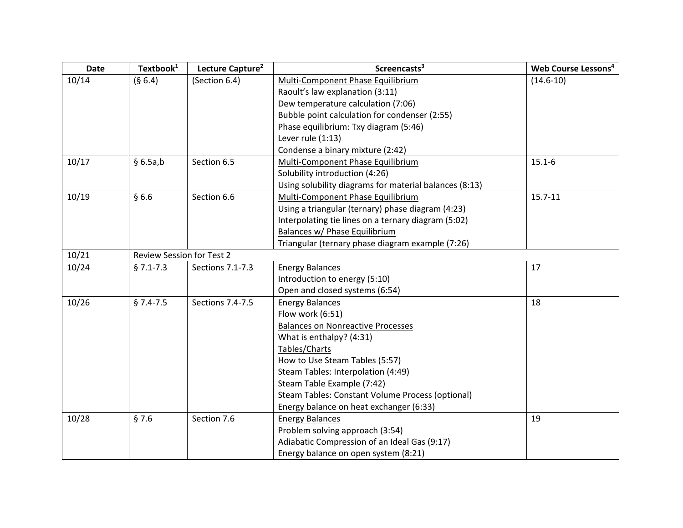| <b>Date</b> | Textbook <sup>1</sup>            | Lecture Capture <sup>2</sup> | Screencasts <sup>3</sup>                               | Web Course Lessons <sup>4</sup> |
|-------------|----------------------------------|------------------------------|--------------------------------------------------------|---------------------------------|
| 10/14       | (§ 6.4)                          | (Section 6.4)                | Multi-Component Phase Equilibrium                      | $(14.6 - 10)$                   |
|             |                                  |                              | Raoult's law explanation (3:11)                        |                                 |
|             |                                  |                              | Dew temperature calculation (7:06)                     |                                 |
|             |                                  |                              | Bubble point calculation for condenser (2:55)          |                                 |
|             |                                  |                              | Phase equilibrium: Txy diagram (5:46)                  |                                 |
|             |                                  |                              | Lever rule (1:13)                                      |                                 |
|             |                                  |                              | Condense a binary mixture (2:42)                       |                                 |
| 10/17       | §6.5a,b                          | Section 6.5                  | Multi-Component Phase Equilibrium                      | $15.1 - 6$                      |
|             |                                  |                              | Solubility introduction (4:26)                         |                                 |
|             |                                  |                              | Using solubility diagrams for material balances (8:13) |                                 |
| 10/19       | §6.6                             | Section 6.6                  | Multi-Component Phase Equilibrium                      | $15.7 - 11$                     |
|             |                                  |                              | Using a triangular (ternary) phase diagram (4:23)      |                                 |
|             |                                  |                              | Interpolating tie lines on a ternary diagram (5:02)    |                                 |
|             |                                  |                              | Balances w/ Phase Equilibrium                          |                                 |
|             |                                  |                              | Triangular (ternary phase diagram example (7:26)       |                                 |
| 10/21       | <b>Review Session for Test 2</b> |                              |                                                        |                                 |
| 10/24       | $§ 7.1 - 7.3$                    | Sections 7.1-7.3             | <b>Energy Balances</b>                                 | 17                              |
|             |                                  |                              | Introduction to energy (5:10)                          |                                 |
|             |                                  |                              | Open and closed systems (6:54)                         |                                 |
| 10/26       | $§ 7.4 - 7.5$                    | Sections 7.4-7.5             | <b>Energy Balances</b>                                 | 18                              |
|             |                                  |                              | Flow work (6:51)                                       |                                 |
|             |                                  |                              | <b>Balances on Nonreactive Processes</b>               |                                 |
|             |                                  |                              | What is enthalpy? (4:31)                               |                                 |
|             |                                  |                              | Tables/Charts                                          |                                 |
|             |                                  |                              | How to Use Steam Tables (5:57)                         |                                 |
|             |                                  |                              | Steam Tables: Interpolation (4:49)                     |                                 |
|             |                                  |                              | Steam Table Example (7:42)                             |                                 |
|             |                                  |                              | Steam Tables: Constant Volume Process (optional)       |                                 |
|             |                                  |                              | Energy balance on heat exchanger (6:33)                |                                 |
| 10/28       | §7.6                             | Section 7.6                  | <b>Energy Balances</b>                                 | 19                              |
|             |                                  |                              | Problem solving approach (3:54)                        |                                 |
|             |                                  |                              | Adiabatic Compression of an Ideal Gas (9:17)           |                                 |
|             |                                  |                              | Energy balance on open system (8:21)                   |                                 |